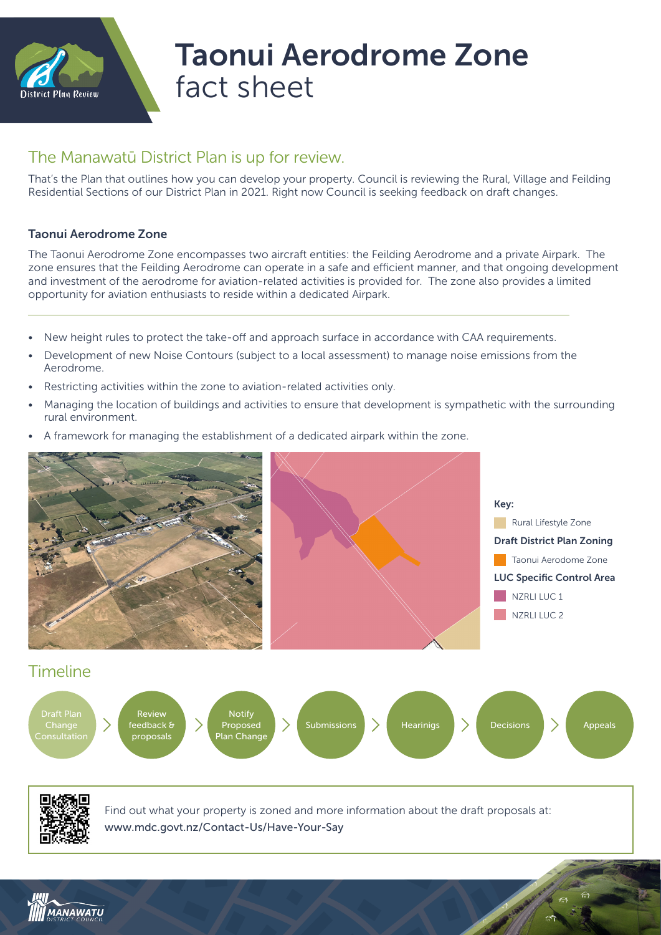

## Taonui Aerodrome Zone fact sheet

## The Manawatū District Plan is up for review.

That's the Plan that outlines how you can develop your property. Council is reviewing the Rural, Village and Feilding Residential Sections of our District Plan in 2021. Right now Council is seeking feedback on draft changes.

## Taonui Aerodrome Zone

The Taonui Aerodrome Zone encompasses two aircraft entities: the Feilding Aerodrome and a private Airpark. The zone ensures that the Feilding Aerodrome can operate in a safe and efficient manner, and that ongoing development and investment of the aerodrome for aviation-related activities is provided for. The zone also provides a limited opportunity for aviation enthusiasts to reside within a dedicated Airpark.

- New height rules to protect the take-off and approach surface in accordance with CAA requirements.
- Development of new Noise Contours (subject to a local assessment) to manage noise emissions from the Aerodrome.
- Restricting activities within the zone to aviation-related activities only.
- Managing the location of buildings and activities to ensure that development is sympathetic with the surrounding rural environment.
- A framework for managing the establishment of a dedicated airpark within the zone.